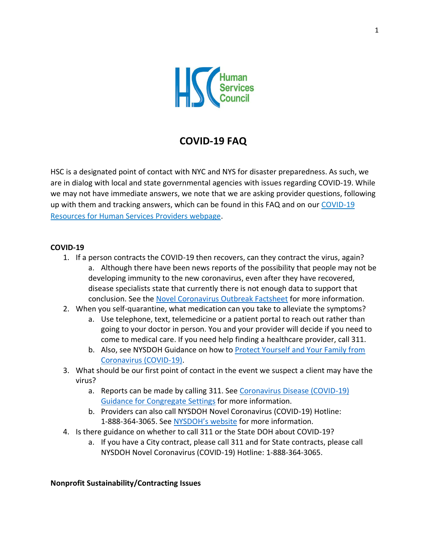

# **COVID-19 FAQ**

HSC is a designated point of contact with NYC and NYS for disaster preparedness. As such, we are in dialog with local and state governmental agencies with issues regarding COVID-19. While we may not have immediate answers, we note that we are asking provider questions, following up with them and tracking answers, which can be found in this FAQ and on our COVID-19 [Resources for Human Services Providers webpage.](https://humanservicescouncil.org/covid-19-resources-for-human-services-providers/)

### **COVID-19**

- 1. If a person contracts the COVID-19 then recovers, can they contract the virus, again? a. Although there have been news reports of the possibility that people may not be developing immunity to the new coronavirus, even after they have recovered, disease specialists state that currently there is not enough data to support that conclusion. See the [Novel Coronavirus Outbreak Factsheet](https://www1.nyc.gov/assets/doh/downloads/pdf/imm/coronavirus-factsheet.pdf) for more information.
- 2. When you self-quarantine, what medication can you take to alleviate the symptoms?
	- a. Use telephone, text, telemedicine or a patient portal to reach out rather than going to your doctor in person. You and your provider will decide if you need to come to medical care. If you need help finding a healthcare provider, call 311.
	- b. Also, see NYSDOH Guidance on how to [Protect Yourself and Your Family from](https://coronavirus.health.ny.gov/protect-yourself-and-your-family-coronavirus-covid19)  [Coronavirus \(COVID-19\).](https://coronavirus.health.ny.gov/protect-yourself-and-your-family-coronavirus-covid19)
- 3. What should be our first point of contact in the event we suspect a client may have the virus?
	- a. Reports can be made by calling 311. See [Coronavirus Disease \(COVID-19\)](https://www1.nyc.gov/assets/doh/downloads/pdf/imm/guidance-for-congregate-settings-covid19.pdf)  [Guidance for Congregate Settings](https://www1.nyc.gov/assets/doh/downloads/pdf/imm/guidance-for-congregate-settings-covid19.pdf) for more information.
	- b. Providers can also call NYSDOH Novel Coronavirus (COVID-19) Hotline: 1-888-364-3065. See NYS[DOH's website](https://www.health.ny.gov/diseases/communicable/coronavirus/) for more information.
- 4. Is there guidance on whether to call 311 or the State DOH about COVID-19?
	- a. If you have a City contract, please call 311 and for State contracts, please call NYSDOH Novel Coronavirus (COVID-19) Hotline: 1-888-364-3065.

#### **Nonprofit Sustainability/Contracting Issues**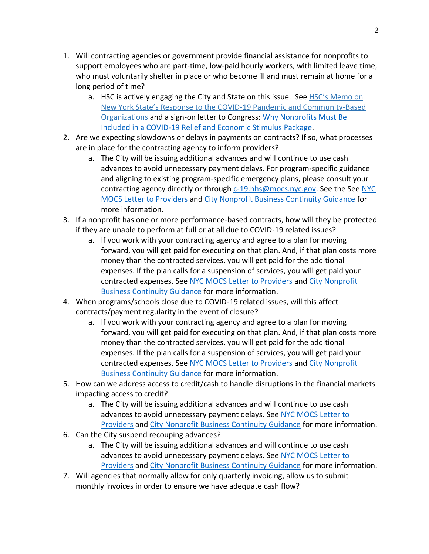- 1. Will contracting agencies or government provide financial assistance for nonprofits to support employees who are part-time, low-paid hourly workers, with limited leave time, who must voluntarily shelter in place or who become ill and must remain at home for a long period of time?
	- a. HSC is actively engaging the City and State on this issue. See HSC's Memo on [New York State's Response to the COVID](https://humanservicescouncil.org/wp-content/uploads/2020/03/COVID-19-memo-for-NYS-.pdf)-19 Pandemic and Community-Based [Organizations](https://humanservicescouncil.org/wp-content/uploads/2020/03/COVID-19-memo-for-NYS-.pdf) and a sign-on letter to Congress[: Why Nonprofits Must Be](https://www.councilofnonprofits.org/sites/default/files/documents/letter-to-congress-include-nonprofits-in-coronavirus-package-3-11-2020.pdf)  [Included in a COVID-19 Relief and Economic Stimulus Package.](https://www.councilofnonprofits.org/sites/default/files/documents/letter-to-congress-include-nonprofits-in-coronavirus-package-3-11-2020.pdf)
- 2. Are we expecting slowdowns or delays in payments on contracts? If so, what processes are in place for the contracting agency to inform providers?
	- a. The City will be issuing additional advances and will continue to use cash advances to avoid unnecessary payment delays. For program-specific guidance and aligning to existing program-specific emergency plans, please consult your contracting agency directly or through [c-19.hhs@mocs.nyc.gov.](mailto:c-19.hhs@mocs.nyc.gov) See the See NYC [MOCS Letter to Providers](https://humanservicescouncil.org/wp-content/uploads/2020/03/Letter-to-Providers.2020.03.18.pdf) an[d City Nonprofit Business Continuity Guidance](https://www1.nyc.gov/assets/doh/downloads/pdf/imm/covid-19-nonprofit-providers-faq.pdf) for more information.
- 3. If a nonprofit has one or more performance-based contracts, how will they be protected if they are unable to perform at full or at all due to COVID-19 related issues?
	- a. If you work with your contracting agency and agree to a plan for moving forward, you will get paid for executing on that plan. And, if that plan costs more money than the contracted services, you will get paid for the additional expenses. If the plan calls for a suspension of services, you will get paid your contracted expenses. See [NYC MOCS Letter to Providers](https://humanservicescouncil.org/wp-content/uploads/2020/03/Letter-to-Providers.2020.03.18.pdf) and [City Nonprofit](https://www1.nyc.gov/assets/doh/downloads/pdf/imm/covid-19-nonprofit-providers-faq.pdf)  [Business Continuity Guidance](https://www1.nyc.gov/assets/doh/downloads/pdf/imm/covid-19-nonprofit-providers-faq.pdf) for more information.
- 4. When programs/schools close due to COVID-19 related issues, will this affect contracts/payment regularity in the event of closure?
	- a. If you work with your contracting agency and agree to a plan for moving forward, you will get paid for executing on that plan. And, if that plan costs more money than the contracted services, you will get paid for the additional expenses. If the plan calls for a suspension of services, you will get paid your contracted expenses. See [NYC MOCS Letter to Providers](https://humanservicescouncil.org/wp-content/uploads/2020/03/Letter-to-Providers.2020.03.18.pdf) and [City Nonprofit](https://www1.nyc.gov/assets/doh/downloads/pdf/imm/covid-19-nonprofit-providers-faq.pdf)  [Business Continuity Guidance](https://www1.nyc.gov/assets/doh/downloads/pdf/imm/covid-19-nonprofit-providers-faq.pdf) for more information.
- 5. How can we address access to credit/cash to handle disruptions in the financial markets impacting access to credit?
	- a. The City will be issuing additional advances and will continue to use cash advances to avoid unnecessary payment delays. See NYC MOCS Letter to [Providers](https://humanservicescouncil.org/wp-content/uploads/2020/03/Letter-to-Providers.2020.03.18.pdf) and [City Nonprofit Business Continuity Guidance](https://www1.nyc.gov/assets/doh/downloads/pdf/imm/covid-19-nonprofit-providers-faq.pdf) for more information.
- 6. Can the City suspend recouping advances?
	- a. The City will be issuing additional advances and will continue to use cash advances to avoid unnecessary payment delays. Se[e NYC MOCS Letter to](https://humanservicescouncil.org/wp-content/uploads/2020/03/Letter-to-Providers.2020.03.18.pdf)  [Providers](https://humanservicescouncil.org/wp-content/uploads/2020/03/Letter-to-Providers.2020.03.18.pdf) and [City Nonprofit Business Continuity Guidance](https://www1.nyc.gov/assets/doh/downloads/pdf/imm/covid-19-nonprofit-providers-faq.pdf) for more information.
- 7. Will agencies that normally allow for only quarterly invoicing, allow us to submit monthly invoices in order to ensure we have adequate cash flow?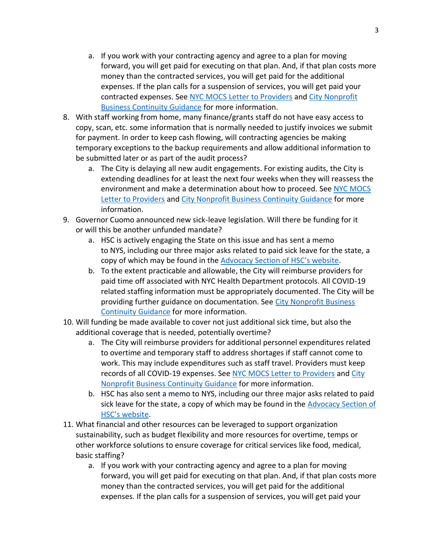- a. If you work with your contracting agency and agree to a plan for moving forward, you will get paid for executing on that plan. And, if that plan costs more money than the contracted services, you will get paid for the additional expenses. If the plan calls for a suspension of services, you will get paid your contracted expenses. See [NYC MOCS Letter to Providers](https://humanservicescouncil.org/wp-content/uploads/2020/03/Letter-to-Providers.2020.03.18.pdf) and [City Nonprofit](https://www1.nyc.gov/assets/doh/downloads/pdf/imm/covid-19-nonprofit-providers-faq.pdf)  [Business Continuity Guidance](https://www1.nyc.gov/assets/doh/downloads/pdf/imm/covid-19-nonprofit-providers-faq.pdf) for more information.
- 8. With staff working from home, many finance/grants staff do not have easy access to copy, scan, etc. some information that is normally needed to justify invoices we submit for payment. In order to keep cash flowing, will contracting agencies be making temporary exceptions to the backup requirements and allow additional information to be submitted later or as part of the audit process?
	- a. The City is delaying all new audit engagements. For existing audits, the City is extending deadlines for at least the next four weeks when they will reassess the environment and make a determination about how to proceed. See [NYC MOCS](https://humanservicescouncil.org/wp-content/uploads/2020/03/Letter-to-Providers.2020.03.18.pdf)  [Letter to Providers](https://humanservicescouncil.org/wp-content/uploads/2020/03/Letter-to-Providers.2020.03.18.pdf) and [City Nonprofit Business Continuity Guidance](https://www1.nyc.gov/assets/doh/downloads/pdf/imm/covid-19-nonprofit-providers-faq.pdf) for more information.
- 9. Governor Cuomo announced new sick-leave legislation. Will there be funding for it or will this be another unfunded mandate?
	- a. HSC is actively engaging the State on this issue and has sent a memo to NYS, including our three major asks related to paid sick leave for the state, a copy of which may be found in the [Advocacy Section of HSC's website](https://humanservicescouncil.org/wp-content/uploads/2020/03/COVID-19-memo-for-NYS-.pdf).
	- b. To the extent practicable and allowable, the City will reimburse providers for paid time off associated with NYC Health Department protocols. All COVID-19 related staffing information must be appropriately documented. The City will be providing further guidance on documentation. See [City Nonprofit Business](https://www1.nyc.gov/assets/doh/downloads/pdf/imm/covid-19-nonprofit-providers-faq.pdf)  [Continuity Guidance](https://www1.nyc.gov/assets/doh/downloads/pdf/imm/covid-19-nonprofit-providers-faq.pdf) for more information.
- 10. Will funding be made available to cover not just additional sick time, but also the additional coverage that is needed, potentially overtime?
	- a. The City will reimburse providers for additional personnel expenditures related to overtime and temporary staff to address shortages if staff cannot come to work. This may include expenditures such as staff travel. Providers must keep records of all COVID-19 expenses. See [NYC MOCS Letter to Providers](https://humanservicescouncil.org/wp-content/uploads/2020/03/Letter-to-Providers.2020.03.18.pdf) an[d City](https://www1.nyc.gov/assets/doh/downloads/pdf/imm/covid-19-nonprofit-providers-faq.pdf)  [Nonprofit Business Continuity Guidance](https://www1.nyc.gov/assets/doh/downloads/pdf/imm/covid-19-nonprofit-providers-faq.pdf) for more information.
	- b. HSC has also sent a memo to NYS, including our three major asks related to paid sick leave for the state, a copy of which may be found in the [Advocacy Section of](https://humanservicescouncil.org/wp-content/uploads/2020/03/COVID-19-memo-for-NYS-.pdf)  [HSC's website](https://humanservicescouncil.org/wp-content/uploads/2020/03/COVID-19-memo-for-NYS-.pdf).
- 11. What financial and other resources can be leveraged to support organization sustainability, such as budget flexibility and more resources for overtime, temps or other workforce solutions to ensure coverage for critical services like food, medical, basic staffing?
	- a. If you work with your contracting agency and agree to a plan for moving forward, you will get paid for executing on that plan. And, if that plan costs more money than the contracted services, you will get paid for the additional expenses. If the plan calls for a suspension of services, you will get paid your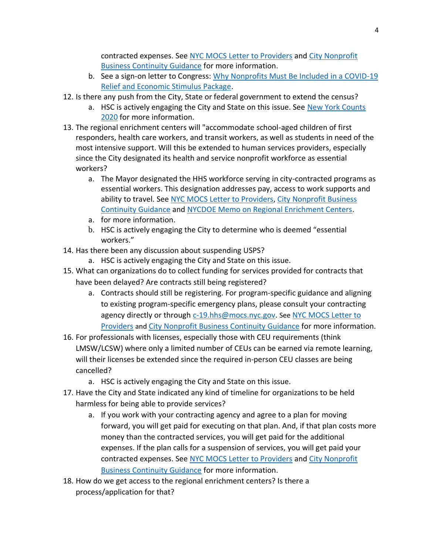contracted expenses. See [NYC MOCS Letter to Providers](https://humanservicescouncil.org/wp-content/uploads/2020/03/Letter-to-Providers.2020.03.18.pdf) and [City Nonprofit](https://www1.nyc.gov/assets/doh/downloads/pdf/imm/covid-19-nonprofit-providers-faq.pdf)  [Business Continuity Guidance](https://www1.nyc.gov/assets/doh/downloads/pdf/imm/covid-19-nonprofit-providers-faq.pdf) for more information.

- b. See a sign-on letter to Congress: [Why Nonprofits Must Be Included in a COVID-19](https://www.councilofnonprofits.org/sites/default/files/documents/letter-to-congress-include-nonprofits-in-coronavirus-package-3-11-2020.pdf)  [Relief and Economic Stimulus Package.](https://www.councilofnonprofits.org/sites/default/files/documents/letter-to-congress-include-nonprofits-in-coronavirus-package-3-11-2020.pdf)
- 12. Is there any push from the City, State or federal government to extend the census?
	- a. HSC is actively engaging the City and State on this issue. See [New York Counts](https://newyorkcounts2020.org/)  [2020](https://newyorkcounts2020.org/) for more information.
- 13. The regional enrichment centers will "accommodate school-aged children of first responders, health care workers, and transit workers, as well as students in need of the most intensive support. Will this be extended to human services providers, especially since the City designated its health and service nonprofit workforce as essential workers?
	- a. The Mayor designated the HHS workforce serving in city-contracted programs as essential workers. This designation addresses pay, access to work supports and ability to travel. Se[e NYC MOCS Letter to Providers,](https://humanservicescouncil.org/wp-content/uploads/2020/03/Letter-to-Providers.2020.03.18.pdf) [City Nonprofit Business](https://www1.nyc.gov/assets/doh/downloads/pdf/imm/covid-19-nonprofit-providers-faq.pdf)  [Continuity Guidance](https://www1.nyc.gov/assets/doh/downloads/pdf/imm/covid-19-nonprofit-providers-faq.pdf) and [NYCDOE Memo on Regional Enrichment Centers.](https://humanservicescouncil.org/wp-content/uploads/2020/03/NYCDOE-REC-Memo.pdf)
	- a. for more information.
	- b. HSC is actively engaging the City to determine who is deemed "essential workers."
- 14. Has there been any discussion about suspending USPS?
	- a. HSC is actively engaging the City and State on this issue.
- 15. What can organizations do to collect funding for services provided for contracts that have been delayed? Are contracts still being registered?
	- a. Contracts should still be registering. For program-specific guidance and aligning to existing program-specific emergency plans, please consult your contracting agency directly or through [c-19.hhs@mocs.nyc.gov.](mailto:c-19.hhs@mocs.nyc.gov) See NYC MOCS Letter to [Providers](https://humanservicescouncil.org/wp-content/uploads/2020/03/Letter-to-Providers.2020.03.18.pdf) and [City Nonprofit Business](https://www1.nyc.gov/assets/doh/downloads/pdf/imm/covid-19-nonprofit-providers-faq.pdf) Continuity Guidance for more information.
- 16. For professionals with licenses, especially those with CEU requirements (think LMSW/LCSW) where only a limited number of CEUs can be earned via remote learning, will their licenses be extended since the required in-person CEU classes are being cancelled?
	- a. HSC is actively engaging the City and State on this issue.
- 17. Have the City and State indicated any kind of timeline for organizations to be held harmless for being able to provide services?
	- a. If you work with your contracting agency and agree to a plan for moving forward, you will get paid for executing on that plan. And, if that plan costs more money than the contracted services, you will get paid for the additional expenses. If the plan calls for a suspension of services, you will get paid your contracted expenses. See [NYC MOCS Letter to Providers](https://humanservicescouncil.org/wp-content/uploads/2020/03/Letter-to-Providers.2020.03.18.pdf) and City Nonprofit [Business Continuity Guidance](https://www1.nyc.gov/assets/doh/downloads/pdf/imm/covid-19-nonprofit-providers-faq.pdf) for more information.
- 18. How do we get access to the regional enrichment centers? Is there a process/application for that?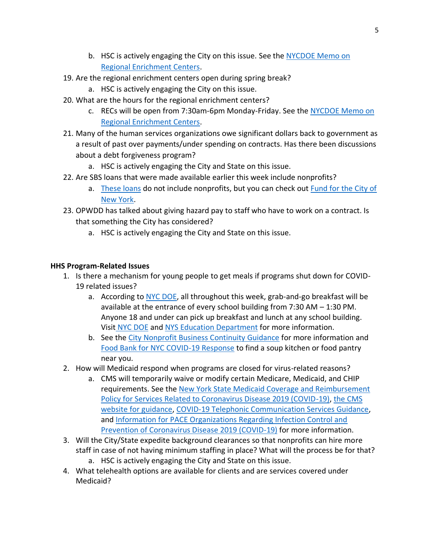- b. HSC is actively engaging the City on this issue. See the NYCDOE Memo on [Regional Enrichment Centers.](https://humanservicescouncil.org/wp-content/uploads/2020/03/NYCDOE-REC-Memo.pdf)
- 19. Are the regional enrichment centers open during spring break?
	- a. HSC is actively engaging the City on this issue.
- 20. What are the hours for the regional enrichment centers?
	- c. RECs will be open from 7:30am-6pm Monday-Friday. See the [NYCDOE Memo on](https://humanservicescouncil.org/wp-content/uploads/2020/03/NYCDOE-REC-Memo.pdf)  [Regional Enrichment Centers.](https://humanservicescouncil.org/wp-content/uploads/2020/03/NYCDOE-REC-Memo.pdf)
- 21. Many of the human services organizations owe significant dollars back to government as a result of past over payments/under spending on contracts. Has there been discussions about a debt forgiveness program?
	- a. HSC is actively engaging the City and State on this issue.
- 22. Are SBS loans that were made available earlier this week include nonprofits?
	- a. [These loans](https://www1.nyc.gov/site/sbs/businesses/covid19-business-outreach.page) do not include nonprofits, but you can check out **Fund for the City of** [New York.](https://rlp.fcny.org/rlp/about/)
- 23. OPWDD has talked about giving hazard pay to staff who have to work on a contract. Is that something the City has considered?
	- a. HSC is actively engaging the City and State on this issue.

### **HHS Program-Related Issues**

- 1. Is there a mechanism for young people to get meals if programs shut down for COVID-19 related issues?
	- a. According to [NYC DOE,](https://www.schools.nyc.gov/school-life/health-and-wellness/coronavirus-update) all throughout this week, grab-and-go breakfast will be available at the entrance of every school building from 7:30 AM – 1:30 PM. Anyone 18 and under can pick up breakfast and lunch at any school building. Visit NYC [DOE](https://www.schools.nyc.gov/school-life/health-and-wellness/coronavirus-update) and NYS Education [Department](http://www.cn.nysed.gov/) for more information.
	- b. See the [City Nonprofit Business Continuity Guidance](https://www1.nyc.gov/assets/doh/downloads/pdf/imm/covid-19-nonprofit-providers-faq.pdf) for more information and [Food Bank for NYC COVID-19](https://www.foodbanknyc.org/COVID-19/) Response to find a soup kitchen or food pantry near you.
- 2. How will Medicaid respond when programs are closed for virus-related reasons?
	- a. CMS will temporarily waive or modify certain Medicare, Medicaid, and CHIP requirements. See the [New York State Medicaid Coverage and Reimbursement](https://coronavirus.health.ny.gov/system/files/documents/2020/03/2020-03-10_covid-19.pdf)  [Policy for Services Related to Coronavirus Disease 2019 \(COVID-19\),](https://coronavirus.health.ny.gov/system/files/documents/2020/03/2020-03-10_covid-19.pdf) [the CMS](https://www.cms.gov/About-CMS/Agency-Information/Emergency/EPRO/Current-Emergencies/Current-Emergencies-page)  [website for guidance,](https://www.cms.gov/About-CMS/Agency-Information/Emergency/EPRO/Current-Emergencies/Current-Emergencies-page) [COVID-19 Telephonic Communication Services Guidance,](https://humanservicescouncil.org/wp-content/uploads/2020/03/COVID-19_Telephonic_Services_SpecialEdition_MedicaidUpdate_03-2020.pdf) and [Information for PACE Organizations Regarding Infection Control and](https://www.cms.gov/files/document/covid-19-pace-memo-3-17-20.pdf)  [Prevention of Coronavirus Disease 2019 \(COVID-19\)](https://www.cms.gov/files/document/covid-19-pace-memo-3-17-20.pdf) for more information.
- 3. Will the City/State expedite background clearances so that nonprofits can hire more staff in case of not having minimum staffing in place? What will the process be for that? a. HSC is actively engaging the City and State on this issue.
- 4. What telehealth options are available for clients and are services covered under Medicaid?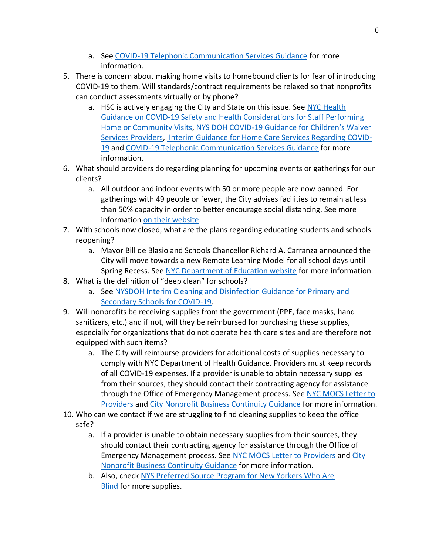- a. See [COVID-19 Telephonic Communication Services Guidance](https://humanservicescouncil.org/wp-content/uploads/2020/03/COVID-19_Telephonic_Services_SpecialEdition_MedicaidUpdate_03-2020.pdf) for more information.
- 5. There is concern about making home visits to homebound clients for fear of introducing COVID-19 to them. Will standards/contract requirements be relaxed so that nonprofits can conduct assessments virtually or by phone?
	- a. HSC is actively engaging the City and State on this issue. See NYC Health [Guidance on COVID-19 Safety and Health Considerations for Staff Performing](https://www1.nyc.gov/assets/doh/downloads/pdf/imm/covid-19-home-community-healthcare-workers.pdf)  [Home or Community Visits,](https://www1.nyc.gov/assets/doh/downloads/pdf/imm/covid-19-home-community-healthcare-workers.pdf) NYS DOH COVID-19 G[uidance for Children's Waiver](https://humanservicescouncil.org/wp-content/uploads/2020/03/Face-to-Face-Requirements-Waived-for-Home-and-Community-Based-Services-Provided-under-the-1915c-Children%E2%80%99s-Waiver-Unless-Medically-Necessary.3.14.20.pdf)  [Services Providers,](https://humanservicescouncil.org/wp-content/uploads/2020/03/Face-to-Face-Requirements-Waived-for-Home-and-Community-Based-Services-Provided-under-the-1915c-Children%E2%80%99s-Waiver-Unless-Medically-Necessary.3.14.20.pdf) [Interim Guidance for Home Care Services Regarding COVID-](https://coronavirus.health.ny.gov/system/files/documents/2020/03/03-16-20_home_care_services.pdf)[19](https://coronavirus.health.ny.gov/system/files/documents/2020/03/03-16-20_home_care_services.pdf) and [COVID-19 Telephonic Communication Services Guidance](https://humanservicescouncil.org/wp-content/uploads/2020/03/COVID-19_Telephonic_Services_SpecialEdition_MedicaidUpdate_03-2020.pdf) for more information.
- 6. What should providers do regarding planning for upcoming events or gatherings for our clients?
	- a. All outdoor and indoor events with 50 or more people are now banned. For gatherings with 49 people or fewer, the City advises facilities to remain at less than 50% capacity in order to better encourage social distancing. See more information [on their website.](https://www1.nyc.gov/site/doh/health/health-topics/coronavirus.page)
- 7. With schools now closed, what are the plans regarding educating students and schools reopening?
	- a. Mayor Bill de Blasio and Schools Chancellor Richard A. Carranza announced the City will move towards a new Remote Learning Model for all school days until Spring Recess. See [NYC Department of Education website](https://www.schools.nyc.gov/alerts/nyc-public-schools-will-close-starting-monday-march-16-2020) for more information.
- 8. What is the definition of "deep clean" for schools?
	- a. See [NYSDOH Interim Cleaning and Disinfection Guidance for Primary and](https://coronavirus.health.ny.gov/system/files/documents/2020/03/cleaning_guidance_schools.pdf)  [Secondary Schools for COVID-19.](https://coronavirus.health.ny.gov/system/files/documents/2020/03/cleaning_guidance_schools.pdf)
- 9. Will nonprofits be receiving supplies from the government (PPE, face masks, hand sanitizers, etc.) and if not, will they be reimbursed for purchasing these supplies, especially for organizations that do not operate health care sites and are therefore not equipped with such items?
	- a. The City will reimburse providers for additional costs of supplies necessary to comply with NYC Department of Health Guidance. Providers must keep records of all COVID-19 expenses. If a provider is unable to obtain necessary supplies from their sources, they should contact their contracting agency for assistance through the Office of Emergency Management process. See NYC MOCS Letter to [Providers](https://humanservicescouncil.org/wp-content/uploads/2020/03/Letter-to-Providers.2020.03.18.pdf) and [City Nonprofit Business Continuity Guidance](https://www1.nyc.gov/assets/doh/downloads/pdf/imm/covid-19-nonprofit-providers-faq.pdf) for more information.
- 10. Who can we contact if we are struggling to find cleaning supplies to keep the office safe?
	- a. If a provider is unable to obtain necessary supplies from their sources, they should contact their contracting agency for assistance through the Office of Emergency Management process. See [NYC MOCS Letter to Providers](https://humanservicescouncil.org/wp-content/uploads/2020/03/Letter-to-Providers.2020.03.18.pdf) an[d City](https://www1.nyc.gov/assets/doh/downloads/pdf/imm/covid-19-nonprofit-providers-faq.pdf)  [Nonprofit Business Continuity Guidance](https://www1.nyc.gov/assets/doh/downloads/pdf/imm/covid-19-nonprofit-providers-faq.pdf) for more information.
	- b. Also, check [NYS Preferred Source Program for New Yorkers Who Are](https://www.nyspspabilityone.com/OA_HTML/ibeCZzpHome.jsp?minisite=10102&respid=22372&grp=NIB_NYSPSP_SITES)  [Blind](https://www.nyspspabilityone.com/OA_HTML/ibeCZzpHome.jsp?minisite=10102&respid=22372&grp=NIB_NYSPSP_SITES) for more supplies.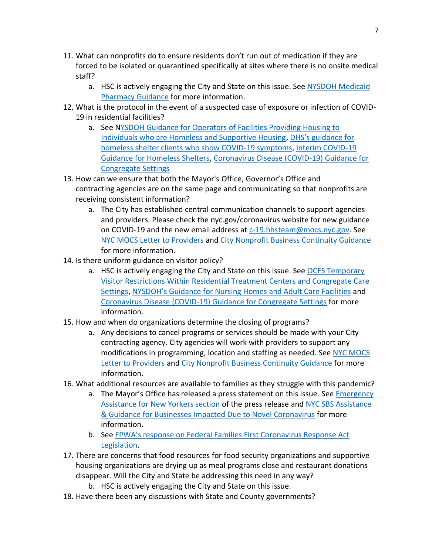- 11. What can nonprofits do to ensure residents don't run out of medication if they are forced to be isolated or quarantined specifically at sites where there is no onsite medical staff?
	- a. HSC is actively engaging the City and State on this issue. See [NYSDOH Medicaid](https://humanservicescouncil.org/wp-content/uploads/2020/03/Medicaid-Pharmacy-Guidance-Disaster-Emergency-in-the-State-of-New-York.pdf)  [Pharmacy Guidance](https://humanservicescouncil.org/wp-content/uploads/2020/03/Medicaid-Pharmacy-Guidance-Disaster-Emergency-in-the-State-of-New-York.pdf) for more information.
- 12. What is the protocol in the event of a suspected case of exposure or infection of COVID-19 in residential facilities?
	- a. See [NYSDOH Guidance for Operators of Facilities Providing Housing to](https://coronavirus.health.ny.gov/system/files/documents/2020/03/guidance_homeless_shelters_supportive_housing.pdf)  [Individuals who are Homeless and Supportive Housing,](https://coronavirus.health.ny.gov/system/files/documents/2020/03/guidance_homeless_shelters_supportive_housing.pdf) [DHS's guidance for](https://files.constantcontact.com/fff820e9001/3c9c3e3b-88ad-4f93-a31a-18b75de810cb.pdf)  [homeless shelter clients who show COVID-19 symptoms,](https://files.constantcontact.com/fff820e9001/3c9c3e3b-88ad-4f93-a31a-18b75de810cb.pdf) [Interim COVID-19](https://www1.nyc.gov/assets/doh/downloads/pdf/imm/guidance-for-homeless-shelters-covid19.pdf)  [Guidance for Homeless Shelters,](https://www1.nyc.gov/assets/doh/downloads/pdf/imm/guidance-for-homeless-shelters-covid19.pdf) [Coronavirus Disease \(COVID-19\) Guidance for](https://www1.nyc.gov/assets/doh/downloads/pdf/imm/guidance-for-congregate-settings-covid19.pdf)  [Congregate Settings](https://www1.nyc.gov/assets/doh/downloads/pdf/imm/guidance-for-congregate-settings-covid19.pdf)
- 13. How can we ensure that both the Mayor's Office, Governor's Office and contracting agencies are on the same page and communicating so that nonprofits are receiving consistent information?
	- a. The City has established central communication channels to support agencies and providers. Please check the nyc.gov/coronavirus website for new guidance on COVID-19 and the new email address a[t c-19.hhsteam@mocs.nyc.gov.](mailto:c-19.hhsteam@mocs.nyc.gov) See [NYC MOCS Letter to Providers](https://humanservicescouncil.org/wp-content/uploads/2020/03/Letter-to-Providers.2020.03.18.pdf) an[d City Nonprofit Business Continuity Guidance](https://www1.nyc.gov/assets/doh/downloads/pdf/imm/covid-19-nonprofit-providers-faq.pdf) for more information.
- 14. Is there uniform guidance on visitor policy?
	- a. HSC is actively engaging the City and State on this issue. See OCFS Temporary [Visitor Restrictions Within Residential Treatment Centers and Congregate Care](https://ocfs.ny.gov/main/news/2020/COVID-2020Mar17-Temporary-Visitor-Restrictions-Facilities.pdf)  [Settings](https://ocfs.ny.gov/main/news/2020/COVID-2020Mar17-Temporary-Visitor-Restrictions-Facilities.pdf), NYSDOH's [Guidance for Nursing Homes](https://humanservicescouncil.org/wp-content/uploads/2020/03/Health-Advisory-Coronavirus.pdf) and Adult Care Facilities and [Coronavirus Disease \(COVID-19\) Guidance for Congregate Settings](https://www1.nyc.gov/assets/doh/downloads/pdf/imm/guidance-for-congregate-settings-covid19.pdf) for more information.
- 15. How and when do organizations determine the closing of programs?
	- a. Any decisions to cancel programs or services should be made with your City contracting agency. City agencies will work with providers to support any modifications in programming, location and staffing as needed. See [NYC MOCS](https://humanservicescouncil.org/wp-content/uploads/2020/03/Letter-to-Providers.2020.03.18.pdf)  [Letter to Providers](https://humanservicescouncil.org/wp-content/uploads/2020/03/Letter-to-Providers.2020.03.18.pdf) and [City Nonprofit Business Continuity Guidance](https://www1.nyc.gov/assets/doh/downloads/pdf/imm/covid-19-nonprofit-providers-faq.pdf) for more information.
- 16. What additional resources are available to families as they struggle with this pandemic?
	- a. The Mayor's Office has released a press statement on this issue. See Emergency [Assistance for New Yorkers section](https://www1.nyc.gov/office-of-the-mayor/news/138-20/mayor-de-blasio-issues-state-emergency) of the press release and NYC SBS [Assistance](https://www1.nyc.gov/site/sbs/businesses/covid19-business-outreach.page)  [& Guidance for Businesses Impacted Due to Novel Coronavirus](https://www1.nyc.gov/site/sbs/businesses/covid19-business-outreach.page) for more information.
	- b. See [FPWA's response on Federal Families First Coronavirus Response Act](https://federalfundstracker.org/publications/senate-must-pass-the-families-first-coronavirus-response-act/?utm_source=FPWA%20General%20News&utm_campaign=a79bc0568d-EMAIL_CAMPAIGN_2019_03_22_FFT_COPY_04&utm_medium=email&utm_term=0_6bfe130276-a79bc0568d-231143497)  [Legislation.](https://federalfundstracker.org/publications/senate-must-pass-the-families-first-coronavirus-response-act/?utm_source=FPWA%20General%20News&utm_campaign=a79bc0568d-EMAIL_CAMPAIGN_2019_03_22_FFT_COPY_04&utm_medium=email&utm_term=0_6bfe130276-a79bc0568d-231143497)
- 17. There are concerns that food resources for food security organizations and supportive housing organizations are drying up as meal programs close and restaurant donations disappear. Will the City and State be addressing this need in any way?
	- b. HSC is actively engaging the City and State on this issue.
- 18. Have there been any discussions with State and County governments?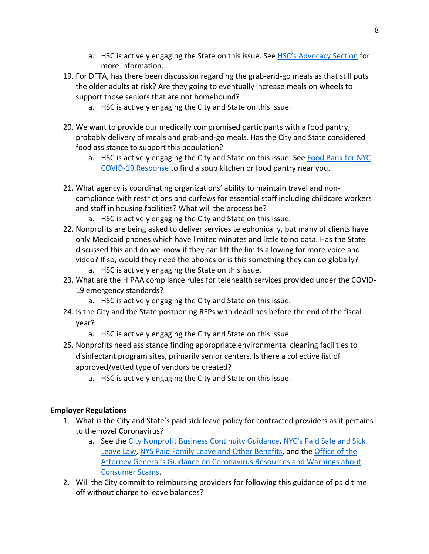- a. HSC is actively engaging the State on this issue. See **[HSC's Advocacy Section](https://humanservicescouncil.org/covid-19-resources-for-human-services-providers/#advocacy-opportunities)** for more information.
- 19. For DFTA, has there been discussion regarding the grab-and-go meals as that still puts the older adults at risk? Are they going to eventually increase meals on wheels to support those seniors that are not homebound?
	- a. HSC is actively engaging the City and State on this issue.
- 20. We want to provide our medically compromised participants with a food pantry, probably delivery of meals and grab-and-go meals. Has the City and State considered food assistance to support this population?
	- a. HSC is actively engaging the City and State on this issue. Se[e Food Bank for NYC](https://www.foodbanknyc.org/COVID-19/)  [COVID-19 Response](https://www.foodbanknyc.org/COVID-19/) to find a soup kitchen or food pantry near you.
- 21. What agency is coordinating organizations' ability to maintain travel and noncompliance with restrictions and curfews for essential staff including childcare workers and staff in housing facilities? What will the process be?
	- a. HSC is actively engaging the City and State on this issue.
- 22. Nonprofits are being asked to deliver services telephonically, but many of clients have only Medicaid phones which have limited minutes and little to no data. Has the State discussed this and do we know if they can lift the limits allowing for more voice and video? If so, would they need the phones or is this something they can do globally?
	- a. HSC is actively engaging the State on this issue.
- 23. What are the HIPAA compliance rules for telehealth services provided under the COVID-19 emergency standards?
	- a. HSC is actively engaging the City and State on this issue.
- 24. Is the City and the State postponing RFPs with deadlines before the end of the fiscal year?
	- a. HSC is actively engaging the City and State on this issue.
- 25. Nonprofits need assistance finding appropriate environmental cleaning facilities to disinfectant program sites, primarily senior centers. Is there a collective list of approved/vetted type of vendors be created?
	- a. HSC is actively engaging the City and State on this issue.

## **Employer Regulations**

- 1. What is the City and State's paid sick leave policy for contracted providers as it pertains to the novel Coronavirus?
	- a. See the [City Nonprofit Business Continuity Guidance,](https://www1.nyc.gov/assets/doh/downloads/pdf/imm/covid-19-nonprofit-providers-faq.pdf) NYC's Paid Safe and Sick [Leave Law,](https://www1.nyc.gov/site/dca/about/paid-sick-leave-law.page) [NYS Paid Family Leave and Other Benefits,](https://paidfamilyleave.ny.gov/paid-family-leave-and-other-benefits) and the [Office of the](https://ag.ny.gov/coronavirus)  [Attorney General's Guidance on Coronavirus Reso](https://ag.ny.gov/coronavirus)urces and Warnings about [Consumer Scams.](https://ag.ny.gov/coronavirus)
- 2. Will the City commit to reimbursing providers for following this guidance of paid time off without charge to leave balances?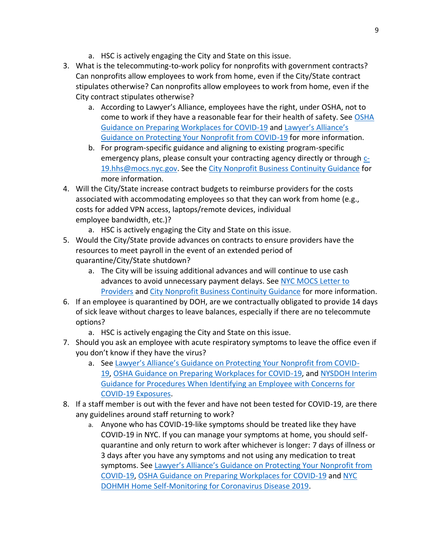- a. HSC is actively engaging the City and State on this issue.
- 3. What is the telecommuting-to-work policy for nonprofits with government contracts? Can nonprofits allow employees to work from home, even if the City/State contract stipulates otherwise? Can nonprofits allow employees to work from home, even if the City contract stipulates otherwise?
	- a. According to Lawyer's Alliance, employees have the right, under OSHA, not to come to work if they have a reasonable fear for their health of safety. See [OSHA](https://www.osha.gov/Publications/OSHA3990.pdf)  [Guidance on Preparing Workplaces for COVID-19](https://www.osha.gov/Publications/OSHA3990.pdf) and [Lawyer's Alliance's](https://lawyersalliance.org/userFiles/uploads/legal_alerts/Protecting_Your_Nonprofit_from_COVID-19_March_9_2020.pdf)  [Guidance on Protecting Your Nonprofit from COVID-19](https://lawyersalliance.org/userFiles/uploads/legal_alerts/Protecting_Your_Nonprofit_from_COVID-19_March_9_2020.pdf) for more information.
	- b. For program-specific guidance and aligning to existing program-specific emergency plans, please consult your contracting agency directly or through [c-](mailto:c-19.hhs@mocs.nyc.gov)[19.hhs@mocs.nyc.gov.](mailto:c-19.hhs@mocs.nyc.gov) See the [City Nonprofit Business Continuity Guidance](https://www1.nyc.gov/assets/doh/downloads/pdf/imm/covid-19-nonprofit-providers-faq.pdf) for more information.
- 4. Will the City/State increase contract budgets to reimburse providers for the costs associated with accommodating employees so that they can work from home (e.g., costs for added VPN access, laptops/remote devices, individual employee bandwidth, etc.)?
	- a. HSC is actively engaging the City and State on this issue.
- 5. Would the City/State provide advances on contracts to ensure providers have the resources to meet payroll in the event of an extended period of quarantine/City/State shutdown?
	- a. The City will be issuing additional advances and will continue to use cash advances to avoid unnecessary payment delays. Se[e NYC MOCS Letter to](https://humanservicescouncil.org/wp-content/uploads/2020/03/Letter-to-Providers.2020.03.18.pdf)  [Providers](https://humanservicescouncil.org/wp-content/uploads/2020/03/Letter-to-Providers.2020.03.18.pdf) and [City Nonprofit Business Continuity Guidance](https://www1.nyc.gov/assets/doh/downloads/pdf/imm/covid-19-nonprofit-providers-faq.pdf) for more information.
- 6. If an employee is quarantined by DOH, are we contractually obligated to provide 14 days of sick leave without charges to leave balances, especially if there are no telecommute options?
	- a. HSC is actively engaging the City and State on this issue.
- 7. Should you ask an employee with acute respiratory symptoms to leave the office even if you don't know if they have the virus?
	- a. See [Lawyer's Alliance's Guidance on Protecting Your Nonprofit from COVID](https://lawyersalliance.org/userFiles/uploads/legal_alerts/Protecting_Your_Nonprofit_from_COVID-19_March_9_2020.pdf)-[19,](https://lawyersalliance.org/userFiles/uploads/legal_alerts/Protecting_Your_Nonprofit_from_COVID-19_March_9_2020.pdf) [OSHA Guidance on Preparing Workplaces for COVID-19,](https://www.osha.gov/Publications/OSHA3990.pdf) and [NYSDOH Interim](https://www.health.ny.gov/diseases/communicable/coronavirus/docs/guidance_for_employers.pdf)  [Guidance for Procedures When Identifying an Employee with Concerns for](https://www.health.ny.gov/diseases/communicable/coronavirus/docs/guidance_for_employers.pdf)  [COVID-19 Exposures.](https://www.health.ny.gov/diseases/communicable/coronavirus/docs/guidance_for_employers.pdf)
- 8. If a staff member is out with the fever and have not been tested for COVID-19, are there any guidelines around staff returning to work?
	- a. Anyone who has COVID-19-like symptoms should be treated like they have COVID-19 in NYC. If you can manage your symptoms at home, you should selfquarantine and only return to work after whichever is longer: 7 days of illness or 3 days after you have any symptoms and not using any medication to treat symptoms. See [Lawyer's Alliance's Guidance on Protecting Your Nonprofit from](https://lawyersalliance.org/userFiles/uploads/legal_alerts/Protecting_Your_Nonprofit_from_COVID-19_March_9_2020.pdf)  [COVID-19,](https://lawyersalliance.org/userFiles/uploads/legal_alerts/Protecting_Your_Nonprofit_from_COVID-19_March_9_2020.pdf) [OSHA Guidance on Preparing Workplaces for COVID-19](https://www.osha.gov/Publications/OSHA3990.pdf) and [NYC](https://www1.nyc.gov/assets/doh/downloads/pdf/imm/faq-for-home-self-monitoring-novel-coronavirus-nyc.pdf)  DOHMH [Home Self-Monitoring for Coronavirus Disease 2019.](https://www1.nyc.gov/assets/doh/downloads/pdf/imm/faq-for-home-self-monitoring-novel-coronavirus-nyc.pdf)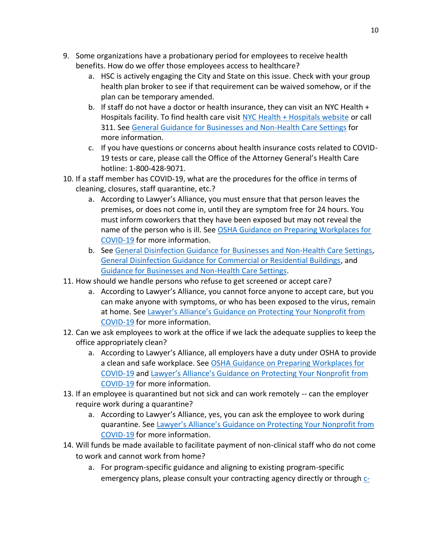- 9. Some organizations have a probationary period for employees to receive health benefits. How do we offer those employees access to healthcare?
	- a. HSC is actively engaging the City and State on this issue. Check with your group health plan broker to see if that requirement can be waived somehow, or if the plan can be temporary amended.
	- b. If staff do not have a doctor or health insurance, they can visit an NYC Health + Hospitals facility. To find health care visit [NYC Health + Hospitals website](https://www.nychealthandhospitals.org/hospitals/) or call 311. See [General Guidance for Businesses and Non-Health Care Settings](https://www1.nyc.gov/assets/doh/downloads/pdf/imm/novel-coronavirus-faq-for-businesses.pdf) for more information.
	- c. If you have questions or concerns about health insurance costs related to COVID-19 tests or care, please call the Office of the Attorney General's Health Care hotline: 1-800-428-9071.
- 10. If a staff member has COVID-19, what are the procedures for the office in terms of cleaning, closures, staff quarantine, etc.?
	- a. According to Lawyer's Alliance, you must ensure that that person leaves the premises, or does not come in, until they are symptom free for 24 hours. You must inform coworkers that they have been exposed but may not reveal the name of the person who is ill. See [OSHA Guidance on Preparing Workplaces for](https://www.osha.gov/Publications/OSHA3990.pdf)  [COVID-19](https://www.osha.gov/Publications/OSHA3990.pdf) for more information.
	- b. See [General Disinfection Guidance for Businesses and Non-Health Care Settings,](https://www1.nyc.gov/assets/doh/downloads/pdf/imm/disinfection-guidance-for-businesses-covid19.pdf) [General Disinfection Guidance for Commercial or Residential Buildings,](https://www1.nyc.gov/assets/doh/downloads/pdf/imm/disinfection-guidance-for-commercial-residential-covid19.pdf) and [Guidance for Businesses and Non-Health Care Settings.](https://www1.nyc.gov/assets/doh/downloads/pdf/imm/novel-coronavirus-faq-for-businesses.pdf)
- 11. How should we handle persons who refuse to get screened or accept care?
	- a. According to Lawyer's Alliance, you cannot force anyone to accept care, but you can make anyone with symptoms, or who has been exposed to the virus, remain at home. See [Lawyer's Alliance's Guidance on Protecting Your Nonprofit from](https://lawyersalliance.org/userFiles/uploads/legal_alerts/Protecting_Your_Nonprofit_from_COVID-19_March_9_2020.pdf)  [COVID-19](https://lawyersalliance.org/userFiles/uploads/legal_alerts/Protecting_Your_Nonprofit_from_COVID-19_March_9_2020.pdf) for more information.
- 12. Can we ask employees to work at the office if we lack the adequate supplies to keep the office appropriately clean?
	- a. According to Lawyer's Alliance, all employers have a duty under OSHA to provide a clean and safe workplace. See [OSHA Guidance on Preparing Workplaces for](https://www.osha.gov/Publications/OSHA3990.pdf)  [COVID-19](https://www.osha.gov/Publications/OSHA3990.pdf) and [Lawyer's Alliance's Guidance on Protecting Your Nonprofit from](https://lawyersalliance.org/userFiles/uploads/legal_alerts/Protecting_Your_Nonprofit_from_COVID-19_March_9_2020.pdf)  [COVID-19](https://lawyersalliance.org/userFiles/uploads/legal_alerts/Protecting_Your_Nonprofit_from_COVID-19_March_9_2020.pdf) for more information.
- 13. If an employee is quarantined but not sick and can work remotely -- can the employer require work during a quarantine?
	- a. According to Lawyer's Alliance, yes, you can ask the employee to work during quarantine. See [Lawyer's Alliance's Guidance on Protecting Your Nonprofit from](https://lawyersalliance.org/userFiles/uploads/legal_alerts/Protecting_Your_Nonprofit_from_COVID-19_March_9_2020.pdf)  [COVID-19](https://lawyersalliance.org/userFiles/uploads/legal_alerts/Protecting_Your_Nonprofit_from_COVID-19_March_9_2020.pdf) for more information.
- 14. Will funds be made available to facilitate payment of non-clinical staff who do not come to work and cannot work from home?
	- a. For program-specific guidance and aligning to existing program-specific emergency plans, please consult your contracting agency directly or through  $c$ -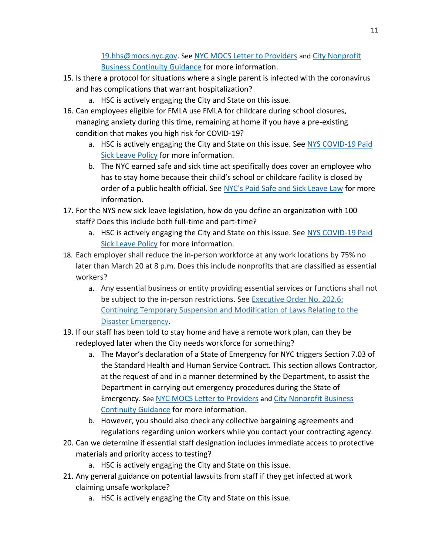[19.hhs@mocs.nyc.gov.](mailto:c-19.hhs@mocs.nyc.gov) See [NYC MOCS Letter to Providers](https://humanservicescouncil.org/wp-content/uploads/2020/03/Letter-to-Providers.2020.03.18.pdf) and [City Nonprofit](https://www1.nyc.gov/assets/doh/downloads/pdf/imm/covid-19-nonprofit-providers-faq.pdf)  [Business Continuity Guidance](https://www1.nyc.gov/assets/doh/downloads/pdf/imm/covid-19-nonprofit-providers-faq.pdf) for more information.

- 15. Is there a protocol for situations where a single parent is infected with the coronavirus and has complications that warrant hospitalization?
	- a. HSC is actively engaging the City and State on this issue.
- 16. Can employees eligible for FMLA use FMLA for childcare during school closures, managing anxiety during this time, remaining at home if you have a pre-existing condition that makes you high risk for COVID-19?
	- a. HSC is actively engaging the City and State on this issue. Se[e NYS COVID-19 Paid](https://www.governor.ny.gov/sites/governor.ny.gov/files/atoms/files/COVID_Sick_Leave_Employees_3-18-20_1.pdf)  [Sick Leave Policy](https://www.governor.ny.gov/sites/governor.ny.gov/files/atoms/files/COVID_Sick_Leave_Employees_3-18-20_1.pdf) for more information.
	- b. The NYC earned safe and sick time act specifically does cover an employee who has to stay home because their child's school or childcare facility is closed by order of a public health official. See [NYC's Paid Safe and Sick Leave Law](https://www1.nyc.gov/site/dca/about/paid-sick-leave-law.page) for more information.
- 17. For the NYS new sick leave legislation, how do you define an organization with 100 staff? Does this include both full-time and part-time?
	- a. HSC is actively engaging the City and State on this issue. See [NYS COVID-19 Paid](https://www.governor.ny.gov/sites/governor.ny.gov/files/atoms/files/COVID_Sick_Leave_Employees_3-18-20_1.pdf)  [Sick Leave Policy](https://www.governor.ny.gov/sites/governor.ny.gov/files/atoms/files/COVID_Sick_Leave_Employees_3-18-20_1.pdf) for more information.
- 18. Each employer shall reduce the in-person workforce at any work locations by 75% no later than March 20 at 8 p.m. Does this include nonprofits that are classified as essential workers?
	- a. Any essential business or entity providing essential services or functions shall not be subject to the in-person restrictions. See [Executive Order No. 202.6:](https://ocfs.ny.gov/main/news/COVID-19/)  [Continuing Temporary Suspension and Modification of Laws Relating to the](https://ocfs.ny.gov/main/news/COVID-19/)  [Disaster Emergency.](https://ocfs.ny.gov/main/news/COVID-19/)
- 19. If our staff has been told to stay home and have a remote work plan, can they be redeployed later when the City needs workforce for something?
	- a. The Mayor's declaration of a State of Emergency for NYC triggers Section 7.03 of the Standard Health and Human Service Contract. This section allows Contractor, at the request of and in a manner determined by the Department, to assist the Department in carrying out emergency procedures during the State of Emergency. See [NYC MOCS Letter to Providers](https://humanservicescouncil.org/wp-content/uploads/2020/03/Letter-to-Providers.2020.03.18.pdf) and [City Nonprofit Business](https://www1.nyc.gov/assets/doh/downloads/pdf/imm/covid-19-nonprofit-providers-faq.pdf)  [Continuity Guidance](https://www1.nyc.gov/assets/doh/downloads/pdf/imm/covid-19-nonprofit-providers-faq.pdf) for more information.
	- b. However, you should also check any collective bargaining agreements and regulations regarding union workers while you contact your contracting agency.
- 20. Can we determine if essential staff designation includes immediate access to protective materials and priority access to testing?
	- a. HSC is actively engaging the City and State on this issue.
- 21. Any general guidance on potential lawsuits from staff if they get infected at work claiming unsafe workplace?
	- a. HSC is actively engaging the City and State on this issue.